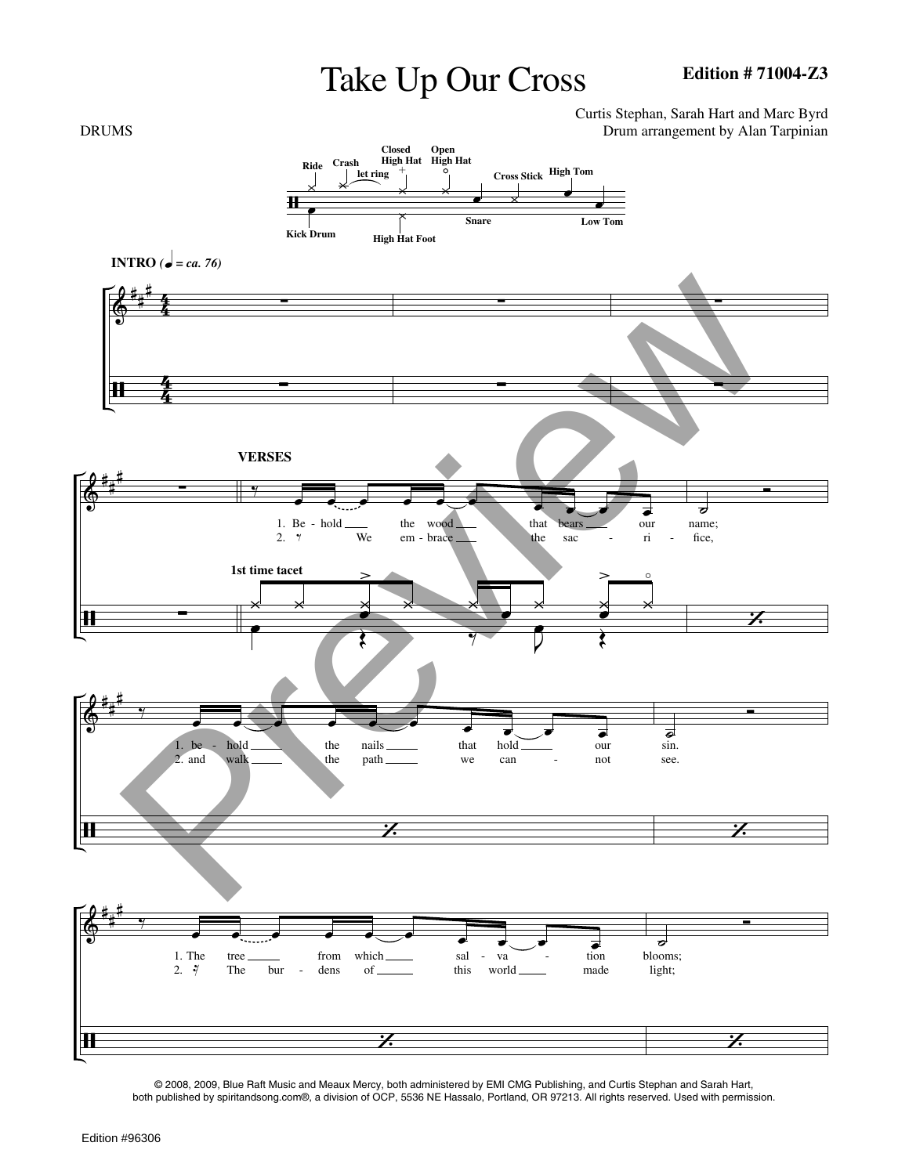## Take Up Our Cross

Curtis Stephan, Sarah Hart and Marc Byrd



© 2008, 2009, Blue Raft Music and Meaux Mercy, both administered by EMI CMG Publishing, and Curtis Stephan and Sarah Hart, both published by spiritandsong.com®, a division of OCP, 5536 NE Hassalo, Portland, OR 97213. All rights reserved. Used with permission.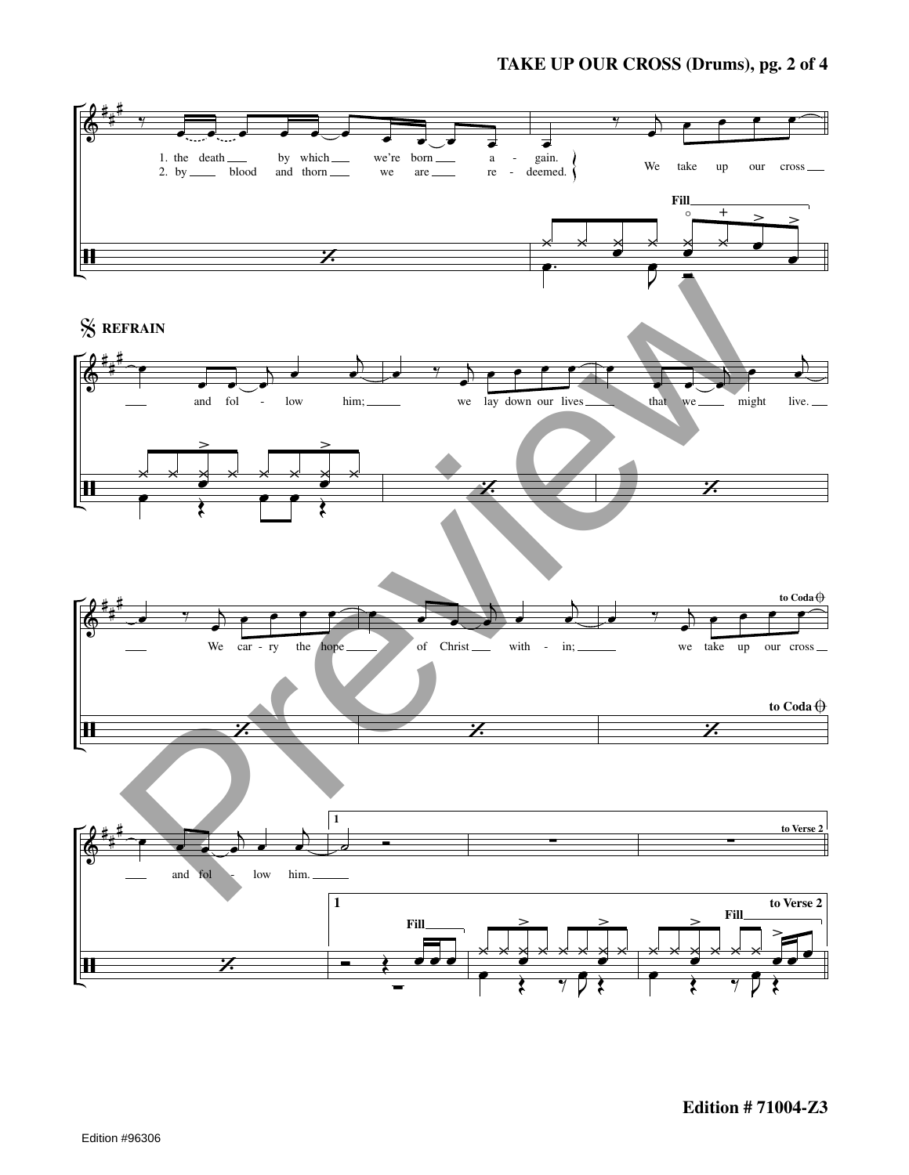## **TAKE UP OUR CROSS (Drums), pg. 2 of 4**

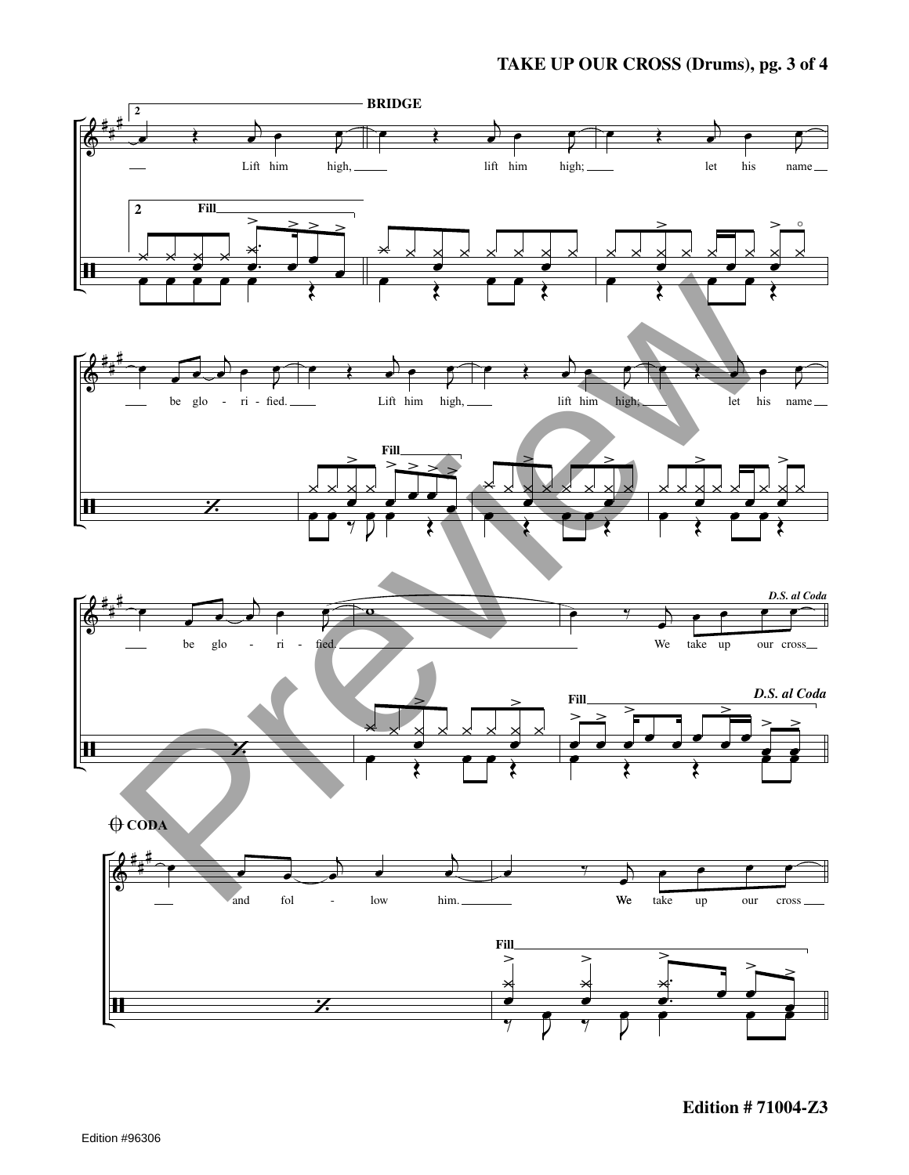